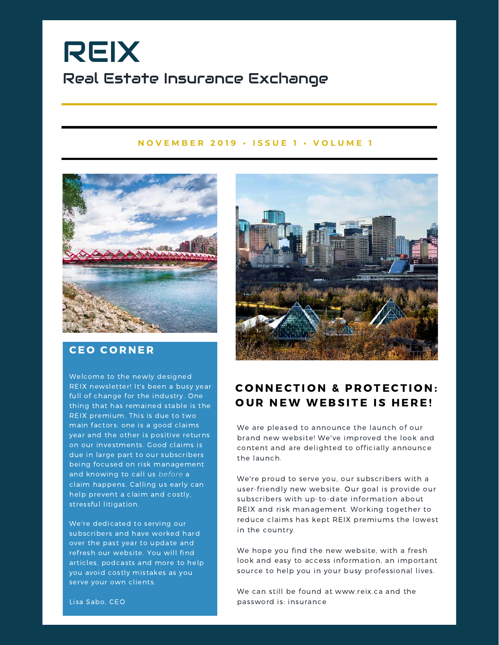# REIX Real Estate Insurance Exchange

#### NOVEMBER 2019 · ISSUE 1 · VOLUME 1



### **CEO CORNER**

Welcome to the newly designed REIX newsletter! It's been a busy year full of change for the industry. One thing that has remained stable is the REIX premium. This is due to two main factors: one is a good claims year and the other is positive returns on our investments. Good claims is due in large part to our subscribers being focused on risk management and knowing to call us *before* a claim happens. Calling us early can help prevent a claim and costly, stressful litigation.

We're dedicated to serving our subscribers and have worked hard over the past year to update and refresh our website. You will find articles, podcasts and more to help you avoid costly mistakes as you serve your own clients.



## **CONNECTION & PROTECTION: OUR NEW WEBSITE IS HERE!**

We are pleased to announce the launch of our brand new website! We've improved the look and content and are delighted to officially announce the launch.

We're proud to serve you, our subscribers with a user-friendly new website. Our goal is provide our subscribers with up-to-date information about REIX and risk management. Working together to reduce claims has kept REIX premiums the lowest in the country.

We hope you find the new website, with a fresh look and easy to access information, an important source to help you in your busy professional lives.

We can still be found at www.reix.ca and the password is: insurance

Lisa Sabo, CEO